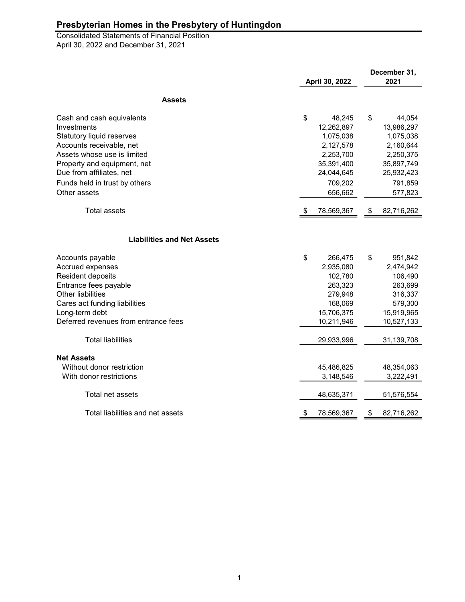April 30, 2022 and December 31, 2021 Consolidated Statements of Financial Position

|                                      | April 30, 2022 |            | December 31,<br>2021 |            |
|--------------------------------------|----------------|------------|----------------------|------------|
| <b>Assets</b>                        |                |            |                      |            |
| Cash and cash equivalents            | \$             | 48,245     | \$                   | 44,054     |
| Investments                          |                | 12,262,897 |                      | 13,986,297 |
| <b>Statutory liquid reserves</b>     |                | 1,075,038  |                      | 1,075,038  |
| Accounts receivable, net             |                | 2,127,578  |                      | 2,160,644  |
| Assets whose use is limited          |                | 2,253,700  |                      | 2,250,375  |
| Property and equipment, net          |                | 35,391,400 |                      | 35,897,749 |
| Due from affiliates, net             |                | 24,044,645 |                      | 25,932,423 |
| Funds held in trust by others        |                | 709,202    |                      | 791,859    |
| Other assets                         |                | 656,662    |                      | 577,823    |
| <b>Total assets</b>                  | -5             | 78,569,367 | \$                   | 82,716,262 |
| <b>Liabilities and Net Assets</b>    |                |            |                      |            |
| Accounts payable                     | \$             | 266,475    | \$                   | 951,842    |
| Accrued expenses                     |                | 2,935,080  |                      | 2,474,942  |
| Resident deposits                    |                | 102,780    |                      | 106,490    |
| Entrance fees payable                |                | 263,323    |                      | 263,699    |
| <b>Other liabilities</b>             |                | 279,948    |                      | 316,337    |
| Cares act funding liabilities        |                | 168,069    |                      | 579,300    |
| Long-term debt                       |                | 15,706,375 |                      | 15,919,965 |
| Deferred revenues from entrance fees |                | 10,211,946 |                      | 10,527,133 |
| <b>Total liabilities</b>             |                | 29,933,996 |                      | 31,139,708 |
| <b>Net Assets</b>                    |                |            |                      |            |
| Without donor restriction            |                | 45,486,825 |                      | 48,354,063 |
| With donor restrictions              |                | 3,148,546  |                      | 3,222,491  |
| Total net assets                     |                | 48,635,371 |                      | 51,576,554 |
| Total liabilities and net assets     | \$             | 78,569,367 | \$                   | 82,716,262 |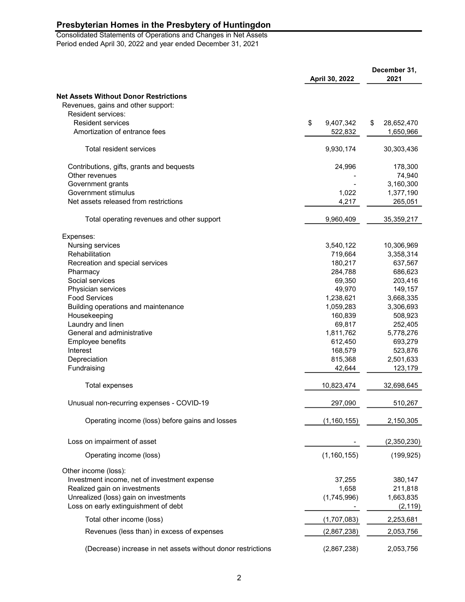Consolidated Statements of Operations and Changes in Net Assets Period ended April 30, 2022 and year ended December 31, 2021

| April 30, 2022                                               |    |               | December 31,<br>2021 |             |
|--------------------------------------------------------------|----|---------------|----------------------|-------------|
| <b>Net Assets Without Donor Restrictions</b>                 |    |               |                      |             |
| Revenues, gains and other support:                           |    |               |                      |             |
| <b>Resident services:</b>                                    |    |               |                      |             |
| Resident services                                            | \$ | 9,407,342     | \$                   | 28,652,470  |
| Amortization of entrance fees                                |    | 522,832       |                      | 1,650,966   |
| Total resident services                                      |    | 9,930,174     |                      | 30,303,436  |
| Contributions, gifts, grants and bequests                    |    | 24,996        |                      | 178,300     |
| Other revenues                                               |    |               |                      | 74,940      |
| Government grants                                            |    |               |                      | 3,160,300   |
| Government stimulus                                          |    | 1,022         |                      | 1,377,190   |
| Net assets released from restrictions                        |    | 4,217         |                      | 265,051     |
| Total operating revenues and other support                   |    | 9,960,409     |                      | 35,359,217  |
| Expenses:                                                    |    |               |                      |             |
| Nursing services                                             |    | 3,540,122     |                      | 10,306,969  |
| Rehabilitation                                               |    | 719,664       |                      | 3,358,314   |
| Recreation and special services                              |    | 180,217       |                      | 637,567     |
| Pharmacy                                                     |    | 284,788       |                      | 686,623     |
| Social services                                              |    | 69,350        |                      | 203,416     |
| Physician services                                           |    | 49,970        |                      | 149,157     |
| <b>Food Services</b>                                         |    | 1,238,621     |                      | 3,668,335   |
| Building operations and maintenance                          |    | 1,059,283     |                      | 3,306,693   |
| Housekeeping                                                 |    | 160,839       |                      | 508,923     |
| Laundry and linen                                            |    | 69,817        |                      | 252,405     |
| General and administrative                                   |    | 1,811,762     |                      | 5,778,276   |
| Employee benefits                                            |    | 612,450       |                      | 693,279     |
| Interest                                                     |    | 168,579       |                      | 523,876     |
| Depreciation                                                 |    | 815,368       |                      | 2,501,633   |
| Fundraising                                                  |    | 42,644        |                      | 123,179     |
| Total expenses                                               |    | 10,823,474    |                      | 32,698,645  |
| Unusual non-recurring expenses - COVID-19                    |    | 297,090       |                      | 510,267     |
| Operating income (loss) before gains and losses              |    | (1, 160, 155) |                      | 2,150,305   |
| Loss on impairment of asset                                  |    |               |                      | (2,350,230) |
| Operating income (loss)                                      |    | (1, 160, 155) |                      | (199, 925)  |
| Other income (loss):                                         |    |               |                      |             |
| Investment income, net of investment expense                 |    | 37,255        |                      | 380,147     |
| Realized gain on investments                                 |    | 1,658         |                      | 211,818     |
| Unrealized (loss) gain on investments                        |    | (1,745,996)   |                      | 1,663,835   |
| Loss on early extinguishment of debt                         |    |               |                      | (2, 119)    |
| Total other income (loss)                                    |    | (1,707,083)   |                      | 2,253,681   |
| Revenues (less than) in excess of expenses                   |    | (2,867,238)   |                      | 2,053,756   |
| (Decrease) increase in net assets without donor restrictions |    | (2,867,238)   |                      | 2,053,756   |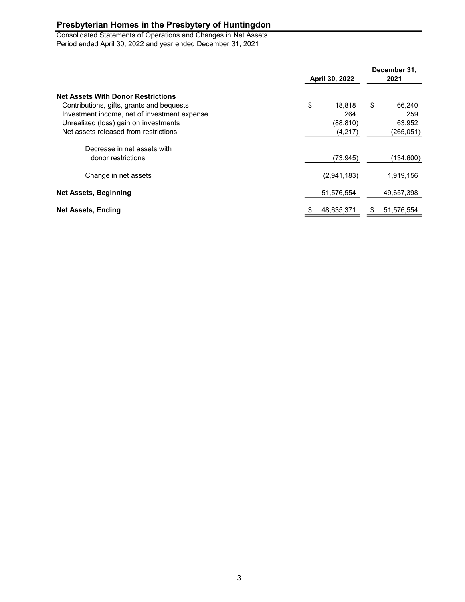Consolidated Statements of Operations and Changes in Net Assets Period ended April 30, 2022 and year ended December 31, 2021

|                                                                                                                                                                                                                          |    | April 30, 2022                        |    | December 31,<br>2021                 |  |
|--------------------------------------------------------------------------------------------------------------------------------------------------------------------------------------------------------------------------|----|---------------------------------------|----|--------------------------------------|--|
| <b>Net Assets With Donor Restrictions</b><br>Contributions, gifts, grants and bequests<br>Investment income, net of investment expense<br>Unrealized (loss) gain on investments<br>Net assets released from restrictions | \$ | 18.818<br>264<br>(88, 810)<br>(4,217) | \$ | 66,240<br>259<br>63,952<br>(265,051) |  |
| Decrease in net assets with<br>donor restrictions                                                                                                                                                                        |    | (73, 945)                             |    | (134,600)                            |  |
| Change in net assets                                                                                                                                                                                                     |    | (2,941,183)                           |    | 1,919,156                            |  |
| <b>Net Assets, Beginning</b>                                                                                                                                                                                             |    | 51,576,554                            |    | 49,657,398                           |  |
| Net Assets, Ending                                                                                                                                                                                                       |    | 48,635,371                            | S  | 51,576,554                           |  |